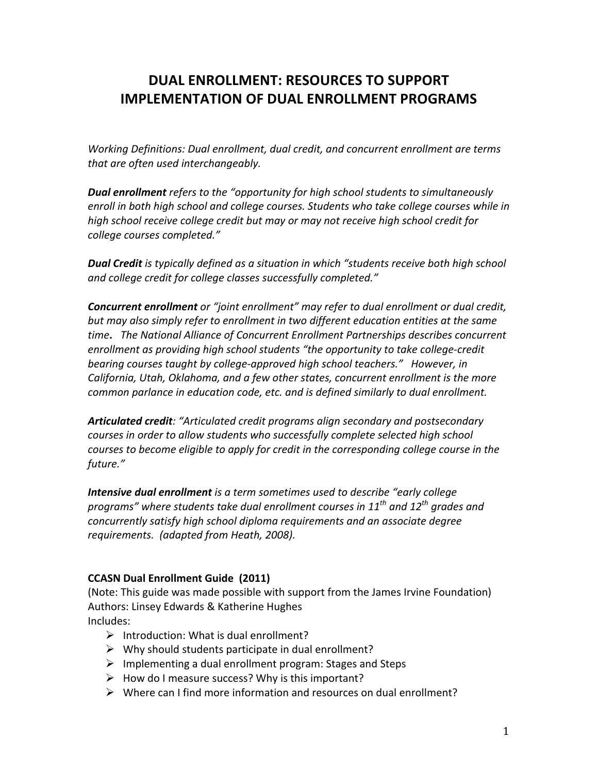# **DUAL%ENROLLMENT:%RESOURCES%TO%SUPPORT% IMPLEMENTATION OF DUAL ENROLLMENT PROGRAMS**

*Working Definitions: Dual enrollment, dual credit, and concurrent enrollment are terms that are often used interchangeably.* 

**Dual enrollment** *refers* to the "opportunity for high school students to simultaneously enroll in both high school and college courses. Students who take college courses while in high school receive college credit but may or may not receive high school credit for  $c$ ollege courses completed."

**Dual Credit** is typically defined as a situation in which "students receive both high school and college credit for college classes successfully completed."

**Concurrent enrollment** or "joint enrollment" may refer to dual enrollment or dual credit, but may also simply refer to enrollment in two different education entities at the same *time.* The National Alliance of Concurrent Enrollment Partnerships describes concurrent enrollment as providing high school students "the opportunity to take college-credit *bearing courses taught by college-approved high school teachers."* However, in *California, Utah, Oklahoma, and a few other states, concurrent enrollment is the more* common parlance in education code, etc. and is defined similarly to dual enrollment.

Articulated credit: "Articulated credit programs align secondary and postsecondary  $c$ ourses in order to allow students who successfully complete selected high school *courses to become eligible to apply for credit in the corresponding college course in the future."(*

**Intensive dual enrollment** is a term sometimes used to describe "early college *programs"(where(students(take(dual(enrollment(courses(in(11th and(12th grades(and( concurrently satisfy high school diploma requirements and an associate degree* requirements. (adapted from Heath, 2008).

### **CCASN Dual Enrollment Guide (2011)**

(Note: This guide was made possible with support from the James Irvine Foundation) Authors: Linsey Edwards & Katherine Hughes Includes:

- $\triangleright$  Introduction: What is dual enrollment?
- $\triangleright$  Why should students participate in dual enrollment?
- $\triangleright$  Implementing a dual enrollment program: Stages and Steps
- $\triangleright$  How do I measure success? Why is this important?
- $\triangleright$  Where can I find more information and resources on dual enrollment?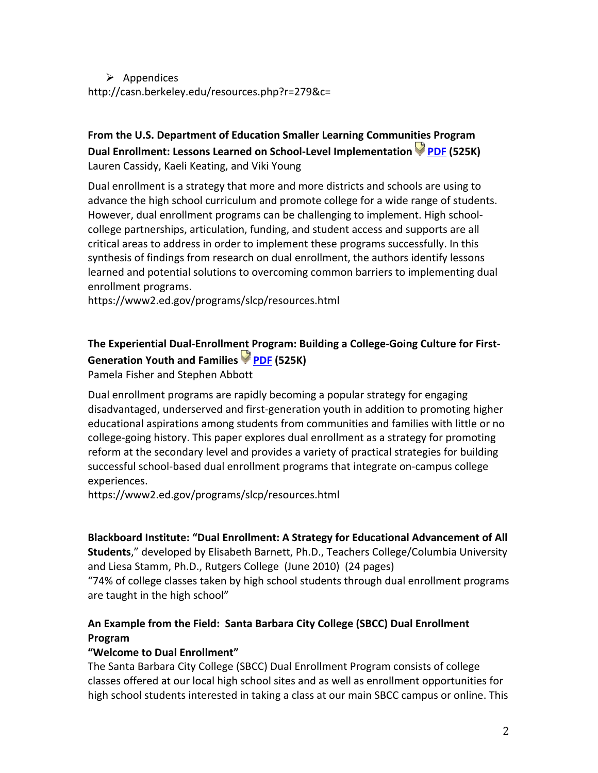$\triangleright$  Appendices http://casn.berkeley.edu/resources.php?r=279&c=

# From the U.S. Department of Education Smaller Learning Communities Program **Dual%Enrollment:%Lessons%Learned%on%SchoolJLevel%Implementation% PDF (525K)** Lauren Cassidy, Kaeli Keating, and Viki Young

Dual enrollment is a strategy that more and more districts and schools are using to advance the high school curriculum and promote college for a wide range of students. However, dual enrollment programs can be challenging to implement. High schoolcollege partnerships, articulation, funding, and student access and supports are all critical areas to address in order to implement these programs successfully. In this synthesis of findings from research on dual enrollment, the authors identify lessons learned and potential solutions to overcoming common barriers to implementing dual enrollment programs.

https://www2.ed.gov/programs/slcp/resources.html

# The Experiential Dual-Enrollment Program: Building a College-Going Culture for First-**Generation%Youth%and%Families% PDF (525K)**

Pamela Fisher and Stephen Abbott

Dual enrollment programs are rapidly becoming a popular strategy for engaging disadvantaged, underserved and first-generation youth in addition to promoting higher educational aspirations among students from communities and families with little or no college-going history. This paper explores dual enrollment as a strategy for promoting reform at the secondary level and provides a variety of practical strategies for building successful school-based dual enrollment programs that integrate on-campus college experiences.

https://www2.ed.gov/programs/slcp/resources.html

### Blackboard Institute: "Dual Enrollment: A Strategy for Educational Advancement of All

Students," developed by Elisabeth Barnett, Ph.D., Teachers College/Columbia University and Liesa Stamm, Ph.D., Rutgers College (June 2010) (24 pages)

"74% of college classes taken by high school students through dual enrollment programs are taught in the high school"

## An Example from the Field: Santa Barbara City College (SBCC) Dual Enrollment **Program**

### "Welcome to Dual Enrollment"

The Santa Barbara City College (SBCC) Dual Enrollment Program consists of college classes offered at our local high school sites and as well as enrollment opportunities for high school students interested in taking a class at our main SBCC campus or online. This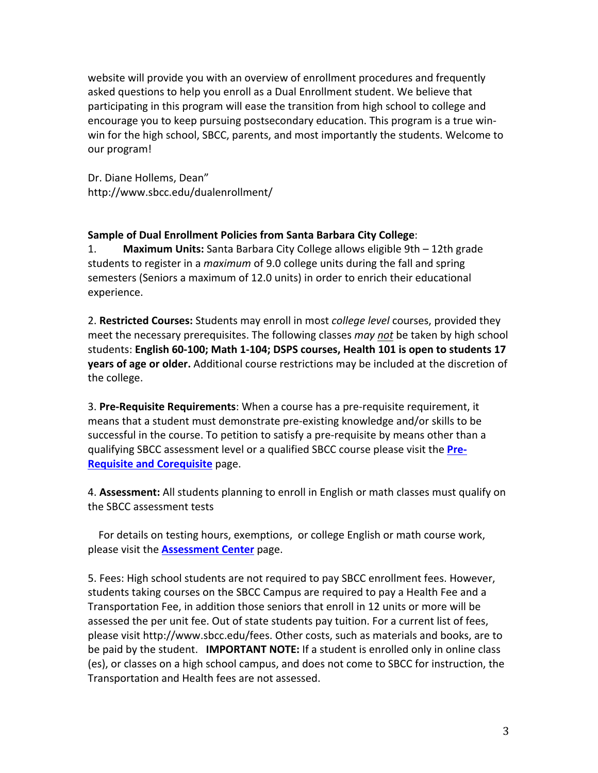website will provide you with an overview of enrollment procedures and frequently asked questions to help you enroll as a Dual Enrollment student. We believe that participating in this program will ease the transition from high school to college and encourage you to keep pursuing postsecondary education. This program is a true winwin for the high school, SBCC, parents, and most importantly the students. Welcome to our program!

Dr. Diane Hollems, Dean" http://www.sbcc.edu/dualenrollment/

#### Sample of Dual Enrollment Policies from Santa Barbara City College:

1. **Maximum Units:** Santa Barbara City College allows eligible 9th – 12th grade students to register in a *maximum* of 9.0 college units during the fall and spring semesters (Seniors a maximum of 12.0 units) in order to enrich their educational experience.

2. **Restricted Courses:** Students may enroll in most *college level* courses, provided they meet the necessary prerequisites. The following classes *may not* be taken by high school students: English 60-100; Math 1-104; DSPS courses, Health 101 is open to students 17 **years of age or older.** Additional course restrictions may be included at the discretion of the college.

3. Pre-Requisite Requirements: When a course has a pre-requisite requirement, it means that a student must demonstrate pre-existing knowledge and/or skills to be successful in the course. To petition to satisfy a pre-requisite by means other than a qualifying SBCC assessment level or a qualified SBCC course please visit the **Pre-Requisite and Corequisite page.** 

4. **Assessment:** All students planning to enroll in English or math classes must qualify on the SBCC assessment tests

For details on testing hours, exemptions, or college English or math course work, please visit the **Assessment Center** page.

5. Fees: High school students are not required to pay SBCC enrollment fees. However, students taking courses on the SBCC Campus are required to pay a Health Fee and a Transportation Fee, in addition those seniors that enroll in 12 units or more will be assessed the per unit fee. Out of state students pay tuition. For a current list of fees, please visit http://www.sbcc.edu/fees. Other costs, such as materials and books, are to be paid by the student. **IMPORTANT NOTE:** If a student is enrolled only in online class (es), or classes on a high school campus, and does not come to SBCC for instruction, the Transportation and Health fees are not assessed.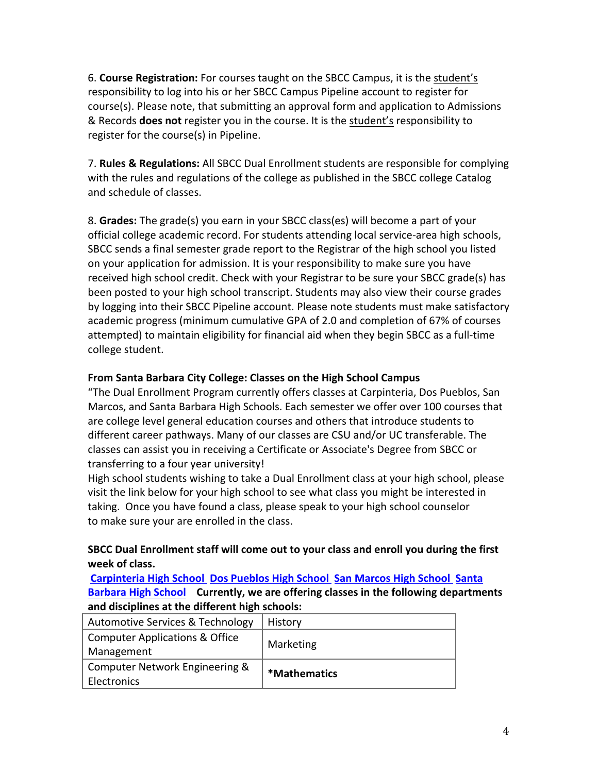6. **Course Registration:** For courses taught on the SBCC Campus, it is the student's responsibility to log into his or her SBCC Campus Pipeline account to register for course(s). Please note, that submitting an approval form and application to Admissions & Records **does not** register you in the course. It is the student's responsibility to register for the course(s) in Pipeline.

7. **Rules & Regulations:** All SBCC Dual Enrollment students are responsible for complying with the rules and regulations of the college as published in the SBCC college Catalog and schedule of classes.

8. Grades: The grade(s) you earn in your SBCC class(es) will become a part of your official college academic record. For students attending local service-area high schools, SBCC sends a final semester grade report to the Registrar of the high school you listed on your application for admission. It is your responsibility to make sure you have received high school credit. Check with your Registrar to be sure your SBCC grade(s) has been posted to your high school transcript. Students may also view their course grades by logging into their SBCC Pipeline account. Please note students must make satisfactory academic progress (minimum cumulative GPA of 2.0 and completion of 67% of courses attempted) to maintain eligibility for financial aid when they begin SBCC as a full-time college student.

## From Santa Barbara City College: Classes on the High School Campus

"The Dual Enrollment Program currently offers classes at Carpinteria, Dos Pueblos, San Marcos, and Santa Barbara High Schools. Each semester we offer over 100 courses that are college level general education courses and others that introduce students to different career pathways. Many of our classes are CSU and/or UC transferable. The classes can assist you in receiving a Certificate or Associate's Degree from SBCC or transferring to a four year university!

High school students wishing to take a Dual Enrollment class at your high school, please visit the link below for your high school to see what class you might be interested in taking. Once you have found a class, please speak to your high school counselor to make sure your are enrolled in the class.

## **SBCC** Dual Enrollment staff will come out to your class and enroll you during the first week of class.

**Carpinteria High School Dos Pueblos High School San Marcos High School Santa Barbara High School** Currently, we are offering classes in the following departments and disciplines at the different high schools:

| Automotive Services & Technology                        | History      |
|---------------------------------------------------------|--------------|
| <b>Computer Applications &amp; Office</b><br>Management | Marketing    |
| Computer Network Engineering &<br>Electronics           | *Mathematics |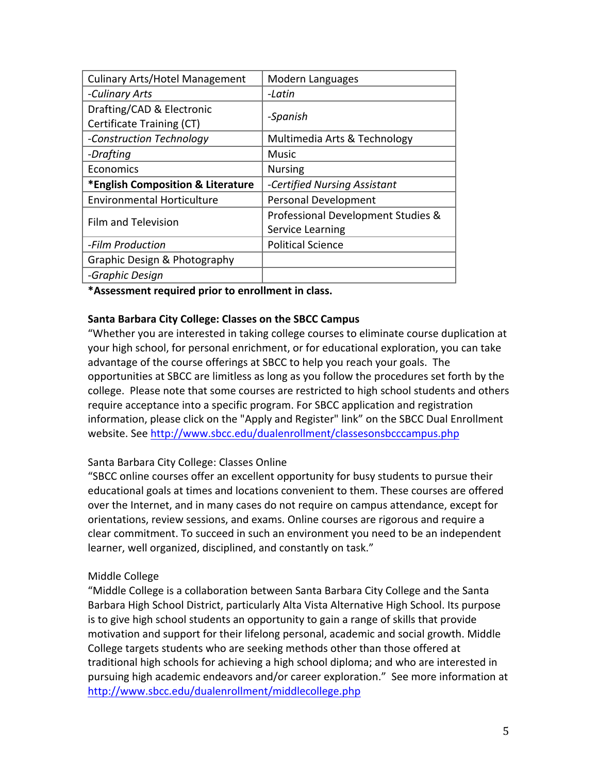| <b>Culinary Arts/Hotel Management</b>                  | Modern Languages                   |
|--------------------------------------------------------|------------------------------------|
| -Culinary Arts                                         | -Latin                             |
| Drafting/CAD & Electronic<br>Certificate Training (CT) | -Spanish                           |
| -Construction Technology                               | Multimedia Arts & Technology       |
| -Drafting                                              | <b>Music</b>                       |
| Economics                                              | <b>Nursing</b>                     |
| *English Composition & Literature                      | -Certified Nursing Assistant       |
| <b>Environmental Horticulture</b>                      | <b>Personal Development</b>        |
| Film and Television                                    | Professional Development Studies & |
|                                                        | Service Learning                   |
| -Film Production                                       | <b>Political Science</b>           |
| Graphic Design & Photography                           |                                    |
| -Graphic Design                                        |                                    |

\*Assessment required prior to enrollment in class.

#### **Santa Barbara City College: Classes on the SBCC Campus**

"Whether you are interested in taking college courses to eliminate course duplication at your high school, for personal enrichment, or for educational exploration, you can take advantage of the course offerings at SBCC to help you reach your goals. The opportunities at SBCC are limitless as long as you follow the procedures set forth by the college. Please note that some courses are restricted to high school students and others require acceptance into a specific program. For SBCC application and registration information, please click on the "Apply and Register" link" on the SBCC Dual Enrollment website. See http://www.sbcc.edu/dualenrollment/classesonsbcccampus.php

### Santa Barbara City College: Classes Online

"SBCC online courses offer an excellent opportunity for busy students to pursue their educational goals at times and locations convenient to them. These courses are offered over the Internet, and in many cases do not require on campus attendance, except for orientations, review sessions, and exams. Online courses are rigorous and require a clear commitment. To succeed in such an environment you need to be an independent learner, well organized, disciplined, and constantly on task."

#### Middle College

"Middle College is a collaboration between Santa Barbara City College and the Santa Barbara High School District, particularly Alta Vista Alternative High School. Its purpose is to give high school students an opportunity to gain a range of skills that provide motivation and support for their lifelong personal, academic and social growth. Middle College targets students who are seeking methods other than those offered at traditional high schools for achieving a high school diploma; and who are interested in pursuing high academic endeavors and/or career exploration." See more information at http://www.sbcc.edu/dualenrollment/middlecollege.php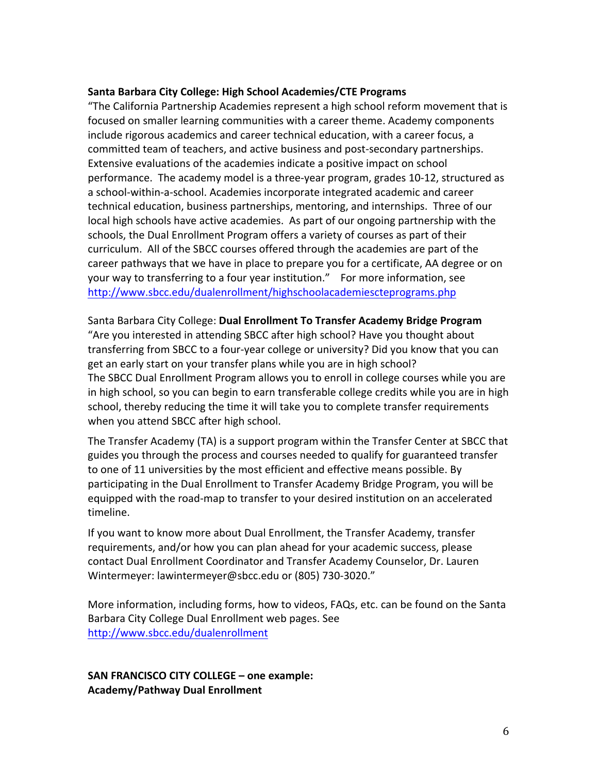#### Santa Barbara City College: High School Academies/CTE Programs

"The California Partnership Academies represent a high school reform movement that is focused on smaller learning communities with a career theme. Academy components include rigorous academics and career technical education, with a career focus, a committed team of teachers, and active business and post-secondary partnerships. Extensive evaluations of the academies indicate a positive impact on school performance. The academy model is a three-year program, grades 10-12, structured as a school-within-a-school. Academies incorporate integrated academic and career technical education, business partnerships, mentoring, and internships. Three of our local high schools have active academies. As part of our ongoing partnership with the schools, the Dual Enrollment Program offers a variety of courses as part of their curriculum. All of the SBCC courses offered through the academies are part of the career pathways that we have in place to prepare you for a certificate, AA degree or on your!way!to!transferring!to!a four!year!institution." !!!For!more!information,!see! http://www.sbcc.edu/dualenrollment/highschoolacademiescteprograms.php

Santa Barbara City College: Dual Enrollment To Transfer Academy Bridge Program "Are you interested in attending SBCC after high school? Have you thought about transferring from SBCC to a four-year college or university? Did you know that you can get an early start on your transfer plans while you are in high school? The SBCC Dual Enrollment Program allows you to enroll in college courses while you are in high school, so you can begin to earn transferable college credits while you are in high school, thereby reducing the time it will take you to complete transfer requirements when you attend SBCC after high school.

The Transfer Academy (TA) is a support program within the Transfer Center at SBCC that guides you through the process and courses needed to qualify for guaranteed transfer to one of 11 universities by the most efficient and effective means possible. By participating in the Dual Enrollment to Transfer Academy Bridge Program, you will be equipped with the road-map to transfer to your desired institution on an accelerated timeline.

If you want to know more about Dual Enrollment, the Transfer Academy, transfer requirements, and/or how you can plan ahead for your academic success, please contact Dual Enrollment Coordinator and Transfer Academy Counselor, Dr. Lauren Wintermeyer: lawintermeyer@sbcc.edu or (805) 730-3020."

More information, including forms, how to videos, FAQs, etc. can be found on the Santa Barbara City College Dual Enrollment web pages. See http://www.sbcc.edu/dualenrollment

**SAN FRANCISCO CITY COLLEGE – one example: Academy/Pathway%Dual%Enrollment**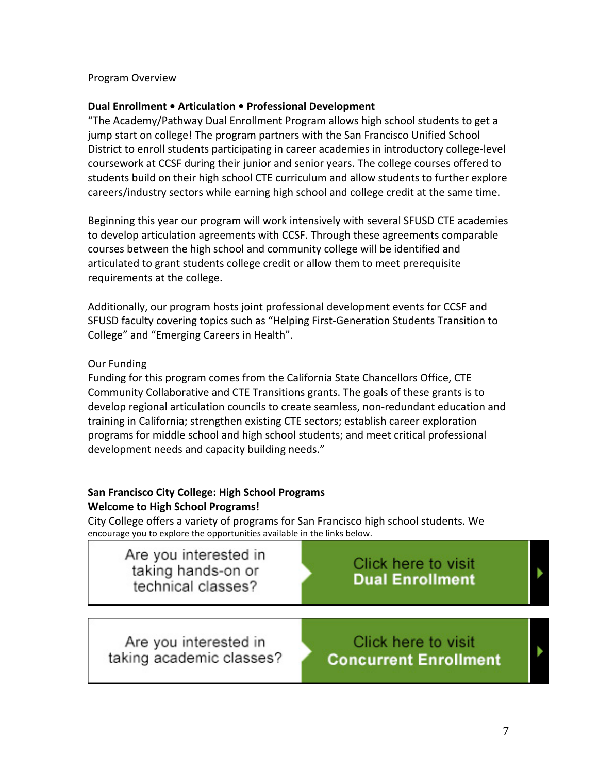Program!Overview

#### **Dual Enrollment • Articulation • Professional Development**

"The Academy/Pathway Dual Enrollment Program allows high school students to get a jump start on college! The program partners with the San Francisco Unified School District to enroll students participating in career academies in introductory college-level coursework at CCSF during their junior and senior years. The college courses offered to students build on their high school CTE curriculum and allow students to further explore careers/industry sectors while earning high school and college credit at the same time.

Beginning this year our program will work intensively with several SFUSD CTE academies to develop articulation agreements with CCSF. Through these agreements comparable courses between the high school and community college will be identified and articulated to grant students college credit or allow them to meet prerequisite requirements at the college.

Additionally, our program hosts joint professional development events for CCSF and SFUSD faculty covering topics such as "Helping First-Generation Students Transition to College" and "Emerging Careers in Health".

### Our Funding

Funding for this program comes from the California State Chancellors Office, CTE Community Collaborative and CTE Transitions grants. The goals of these grants is to develop regional articulation councils to create seamless, non-redundant education and training in California; strengthen existing CTE sectors; establish career exploration programs for middle school and high school students; and meet critical professional development needs and capacity building needs."

### **San Francisco City College: High School Programs Welcome to High School Programs!**

City College offers a variety of programs for San Francisco high school students. We encourage you to explore the opportunities available in the links below.

| Are you interested in<br>taking hands-on or<br>technical classes? | Click here to visit<br><b>Dual Enrollment</b>       |  |
|-------------------------------------------------------------------|-----------------------------------------------------|--|
| Are you interested in<br>taking academic classes?                 | Click here to visit<br><b>Concurrent Enrollment</b> |  |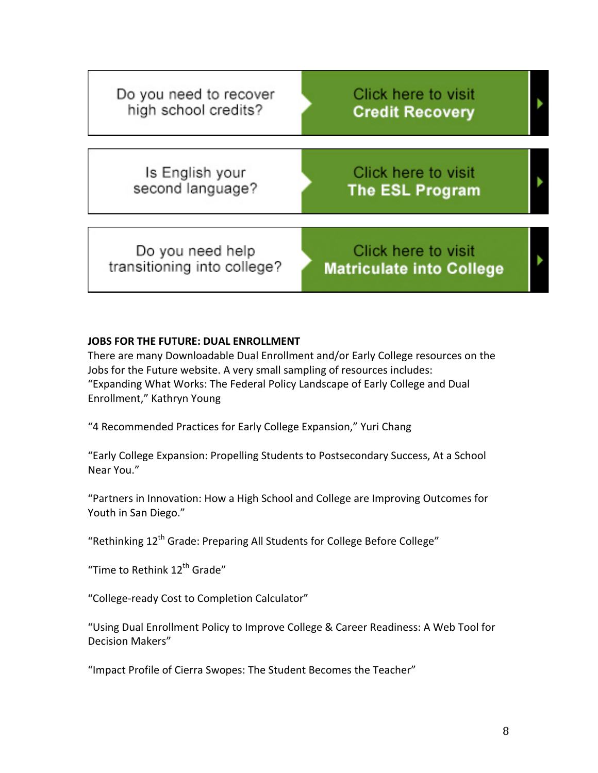| Do you need to recover<br>high school credits?  | Click here to visit<br><b>Credit Recovery</b>          |  |
|-------------------------------------------------|--------------------------------------------------------|--|
| Is English your<br>second language?             | Click here to visit<br><b>The ESL Program</b>          |  |
| Do you need help<br>transitioning into college? | Click here to visit<br><b>Matriculate into College</b> |  |

#### **JOBS FOR THE FUTURE: DUAL ENROLLMENT**

There are many Downloadable Dual Enrollment and/or Early College resources on the Jobs for the Future website. A very small sampling of resources includes: "Expanding What Works: The Federal Policy Landscape of Early College and Dual Enrollment," Kathryn Young

"4 Recommended Practices for Early College Expansion," Yuri Chang

"Early College Expansion: Propelling Students to Postsecondary Success, At a School Near You."

"Partners in Innovation: How a High School and College are Improving Outcomes for Youth in San Diego."

"Rethinking 12<sup>th</sup> Grade: Preparing All Students for College Before College"

"Time to Rethink 12<sup>th</sup> Grade"

"College-ready Cost to Completion Calculator"

"Using Dual Enrollment Policy to Improve College & Career Readiness: A Web Tool for Decision Makers"

"Impact Profile of Cierra Swopes: The Student Becomes the Teacher"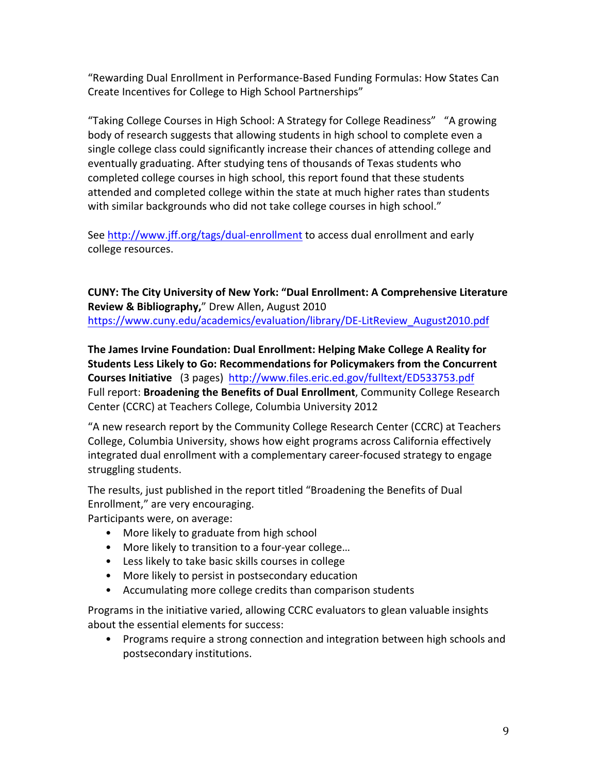"Rewarding Dual Enrollment in Performance-Based Funding Formulas: How States Can Create Incentives for College to High School Partnerships"

"Taking College Courses in High School: A Strategy for College Readiness" "A growing body of research suggests that allowing students in high school to complete even a single college class could significantly increase their chances of attending college and eventually graduating. After studying tens of thousands of Texas students who completed college courses in high school, this report found that these students attended and completed college within the state at much higher rates than students with similar backgrounds who did not take college courses in high school."

See http://www.jff.org/tags/dual-enrollment to access dual enrollment and early college resources.

**CUNY: The City University of New York: "Dual Enrollment: A Comprehensive Literature Review & Bibliography,"** Drew Allen, August 2010 https://www.cuny.edu/academics/evaluation/library/DE-LitReview\_August2010.pdf

**The James Irvine Foundation: Dual Enrollment: Helping Make College A Reality for Students Less Likely to Go: Recommendations for Policymakers from the Concurrent Courses Initiative** (3 pages) http://www.files.eric.ed.gov/fulltext/ED533753.pdf Full report: **Broadening the Benefits of Dual Enrollment**, Community College Research Center (CCRC) at Teachers College, Columbia University 2012

"A new research report by the Community College Research Center (CCRC) at Teachers College, Columbia University, shows how eight programs across California effectively integrated dual enrollment with a complementary career-focused strategy to engage struggling students.

The results, just published in the report titled "Broadening the Benefits of Dual Enrollment," are very encouraging.

Participants were, on average:

- More likely to graduate from high school
- More likely to transition to a four-year college...
- Less likely to take basic skills courses in college
- More likely to persist in postsecondary education
- Accumulating more college credits than comparison students

Programs in the initiative varied, allowing CCRC evaluators to glean valuable insights about the essential elements for success:

• Programs require a strong connection and integration between high schools and postsecondary institutions.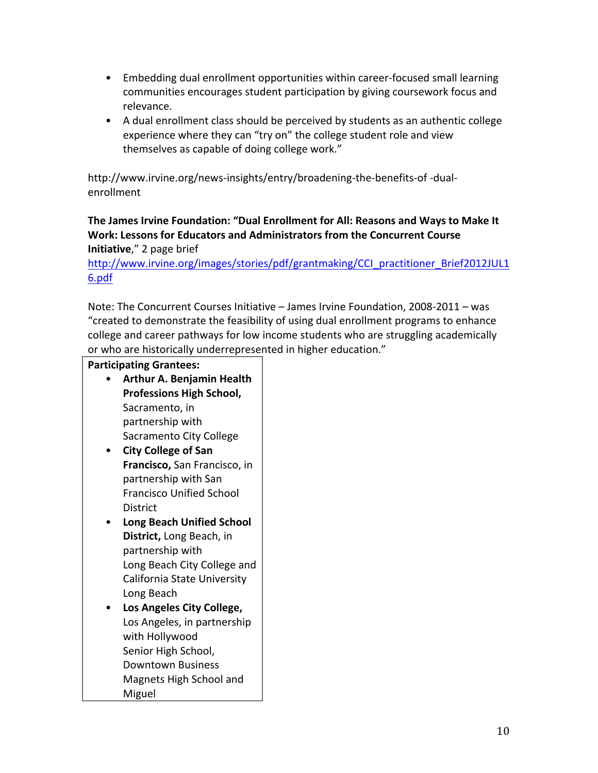- Embedding dual enrollment opportunities within career-focused small learning communities encourages student participation by giving coursework focus and relevance.
- A dual enrollment class should be perceived by students as an authentic college experience where they can "try on" the college student role and view themselves as capable of doing college work."

http://www.irvine.org/news-insights/entry/broadening-the-benefits-of-dualenrollment

### The James Irvine Foundation: "Dual Enrollment for All: Reasons and Ways to Make It Work: Lessons for Educators and Administrators from the Concurrent Course **Initiative,"** 2 page brief

http://www.irvine.org/images/stories/pdf/grantmaking/CCI\_practitioner\_Brief2012JUL1 6.pdf

Note: The Concurrent Courses Initiative – James Irvine Foundation, 2008-2011 – was "created to demonstrate the feasibility of using dual enrollment programs to enhance college and career pathways for low income students who are struggling academically or who are historically underrepresented in higher education."

## **Participating Grantees:**

- Arthur A. Benjamin Health **Professions High School,** Sacramento, in partnership with Sacramento City College
- **City%College%of%San% Francisco, San Francisco, in** partnership with San Francisco Unified School District
- **Long Beach Unified School District, Long Beach, in** partnership with Long Beach City College and California State University Long Beach
- **Los%Angeles%City%College,** Los Angeles, in partnership with Hollywood Senior High School, Downtown Business Magnets High School and **Miguel**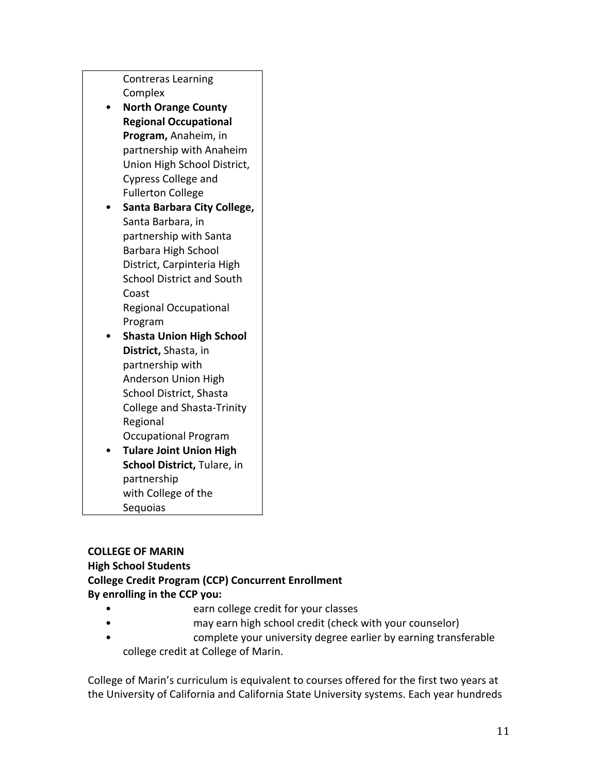Contreras Learning **Complex** • North Orange County **Regional Occupational Program, Anaheim, in** partnership with Anaheim Union High School District, Cypress College and Fullerton College • **Santa%Barbara%City%College,** Santa Barbara, in partnership with Santa Barbara High School District, Carpinteria High School District and South Coast<sup>1</sup> Regional Occupational Program

- Shasta Union High School **District, Shasta, in** partnership with Anderson Union High School District, Shasta College and Shasta-Trinity **Regional** Occupational Program
- **Tulare Joint Union High School District, Tulare, in** partnership! with College of the Sequoias

### **COLLEGE OF MARIN**

## **High School Students**

# **College Credit Program (CCP) Concurrent Enrollment**

By enrolling in the CCP you:

- earn college credit for your classes
- may earn high school credit (check with your counselor)
- complete your university degree earlier by earning transferable college credit at College of Marin.

College of Marin's curriculum is equivalent to courses offered for the first two years at the University of California and California State University systems. Each year hundreds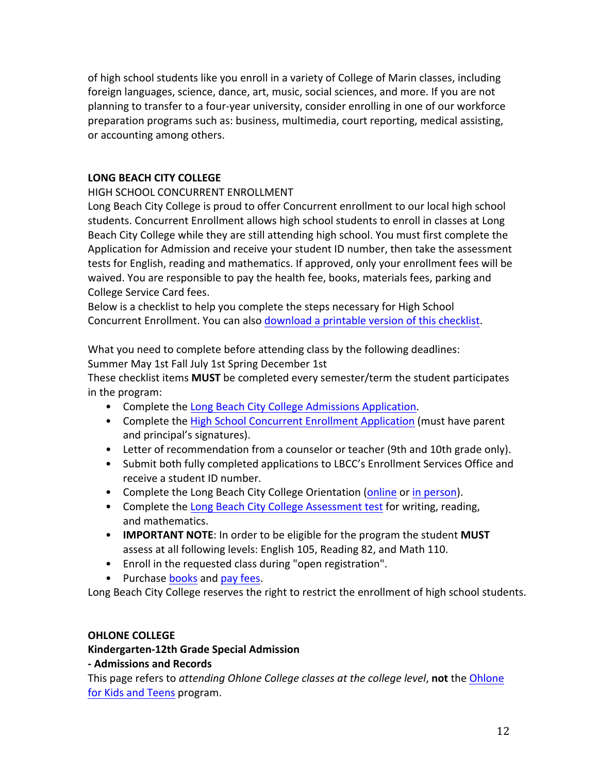of high school students like you enroll in a variety of College of Marin classes, including foreign languages, science, dance, art, music, social sciences, and more. If you are not planning to transfer to a four-year university, consider enrolling in one of our workforce preparation programs such as: business, multimedia, court reporting, medical assisting, or accounting among others.

#### **LONG BEACH CITY COLLEGE**

HIGH SCHOOL CONCURRENT ENROLLMENT

Long Beach City College is proud to offer Concurrent enrollment to our local high school students. Concurrent Enrollment allows high school students to enroll in classes at Long Beach City College while they are still attending high school. You must first complete the Application for Admission and receive your student ID number, then take the assessment tests for English, reading and mathematics. If approved, only your enrollment fees will be waived. You are responsible to pay the health fee, books, materials fees, parking and College Service Card fees.

Below is a checklist to help you complete the steps necessary for High School Concurrent Enrollment. You can also download a printable version of this checklist.

What you need to complete before attending class by the following deadlines: Summer May 1st Fall July 1st Spring December 1st

These checklist items **MUST** be completed every semester/term the student participates in the program:

- Complete the Long Beach City College Admissions Application.
- Complete the High School Concurrent Enrollment Application (must have parent and principal's signatures).
- Letter of recommendation from a counselor or teacher (9th and 10th grade only).
- Submit both fully completed applications to LBCC's Enrollment Services Office and receive a student ID number.
- Complete the Long Beach City College Orientation (online or in person).
- Complete the Long Beach City College Assessment test for writing, reading, and mathematics.
- **IMPORTANT NOTE:** In order to be eligible for the program the student **MUST** assess at all following levels: English 105, Reading 82, and Math 110.
- Enroll in the requested class during "open registration".
- Purchase books and pay fees.

Long Beach City College reserves the right to restrict the enrollment of high school students.

#### **OHLONE COLLEGE**

### **Kindergarten-12th Grade Special Admission**

#### **J Admissions%and%Records**

This page refers to attending Ohlone College classes at the college level, not the Ohlone for Kids and Teens program.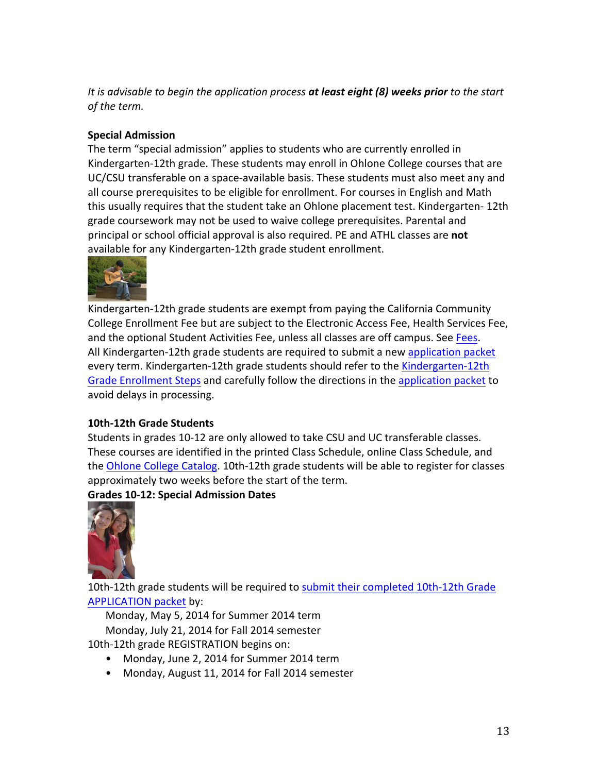*It is advisable to begin the application process at least eight (8) weeks prior to the start of the term.* 

### **Special Admission**

The term "special admission" applies to students who are currently enrolled in Kindergarten-12th grade. These students may enroll in Ohlone College courses that are UC/CSU transferable on a space-available basis. These students must also meet any and all course prerequisites to be eligible for enrollment. For courses in English and Math this usually requires that the student take an Ohlone placement test. Kindergarten- 12th grade coursework may not be used to waive college prerequisites. Parental and principal or school official approval is also required. PE and ATHL classes are not available for any Kindergarten-12th grade student enrollment.



Kindergarten-12th grade students are exempt from paying the California Community College Enrollment Fee but are subject to the Electronic Access Fee, Health Services Fee, and the optional Student Activities Fee, unless all classes are off campus. See Fees. All Kindergarten-12th grade students are required to submit a new application packet every term. Kindergarten-12th grade students should refer to the Kindergarten-12th Grade Enrollment Steps and carefully follow the directions in the application packet to avoid delays in processing.

### **10th-12th Grade Students**

Students in grades 10-12 are only allowed to take CSU and UC transferable classes. These courses are identified in the printed Class Schedule, online Class Schedule, and the Ohlone College Catalog. 10th-12th grade students will be able to register for classes approximately two weeks before the start of the term.

**Grades 10-12: Special Admission Dates** 



10th-12th grade students will be required to submit their completed 10th-12th Grade APPLICATION packet by:

Monday, May 5, 2014 for Summer 2014 term Monday, July 21, 2014 for Fall 2014 semester

- 10th-12th grade REGISTRATION begins on:
	- Monday, June 2, 2014 for Summer 2014 term
	- Monday, August 11, 2014 for Fall 2014 semester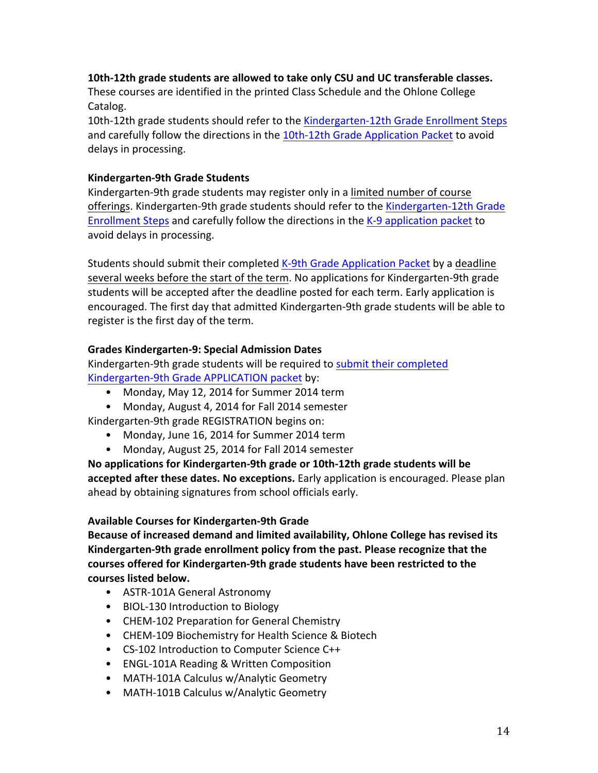#### 10th-12th grade students are allowed to take only CSU and UC transferable classes.

These courses are identified in the printed Class Schedule and the Ohlone College Catalog.

10th-12th grade students should refer to the Kindergarten-12th Grade Enrollment Steps and carefully follow the directions in the 10th-12th Grade Application Packet to avoid delays in processing.

#### **Kindergarten-9th Grade Students**

Kindergarten-9th grade students may register only in a limited number of course offerings. Kindergarten-9th grade students should refer to the Kindergarten-12th Grade Enrollment Steps and carefully follow the directions in the K-9 application packet to avoid delays in processing.

Students should submit their completed K-9th Grade Application Packet by a deadline several weeks before the start of the term. No applications for Kindergarten-9th grade students will be accepted after the deadline posted for each term. Early application is encouraged. The first day that admitted Kindergarten-9th grade students will be able to register is the first day of the term.

#### **Grades Kindergarten-9: Special Admission Dates**

Kindergarten-9th grade students will be required to submit their completed Kindergarten-9th Grade APPLICATION packet by:

- Monday, May 12, 2014 for Summer 2014 term
- Monday, August 4, 2014 for Fall 2014 semester

Kindergarten-9th grade REGISTRATION begins on:

- Monday, June 16, 2014 for Summer 2014 term
- Monday, August 25, 2014 for Fall 2014 semester

No applications for Kindergarten-9th grade or 10th-12th grade students will be accepted after these dates. No exceptions. Early application is encouraged. Please plan ahead by obtaining signatures from school officials early.

#### **Available Courses for Kindergarten-9th Grade**

Because of increased demand and limited availability, Ohlone College has revised its Kindergarten-9th grade enrollment policy from the past. Please recognize that the courses offered for Kindergarten-9th grade students have been restricted to the courses listed below.

- ASTR-101A General Astronomy
- BIOL-130 Introduction to Biology
- CHEM-102 Preparation for General Chemistry
- CHEM-109 Biochemistry for Health Science & Biotech
- CS-102 Introduction to Computer Science C++
- ENGL-101A Reading & Written Composition
- MATH-101A Calculus w/Analytic Geometry
- MATH-101B Calculus w/Analytic Geometry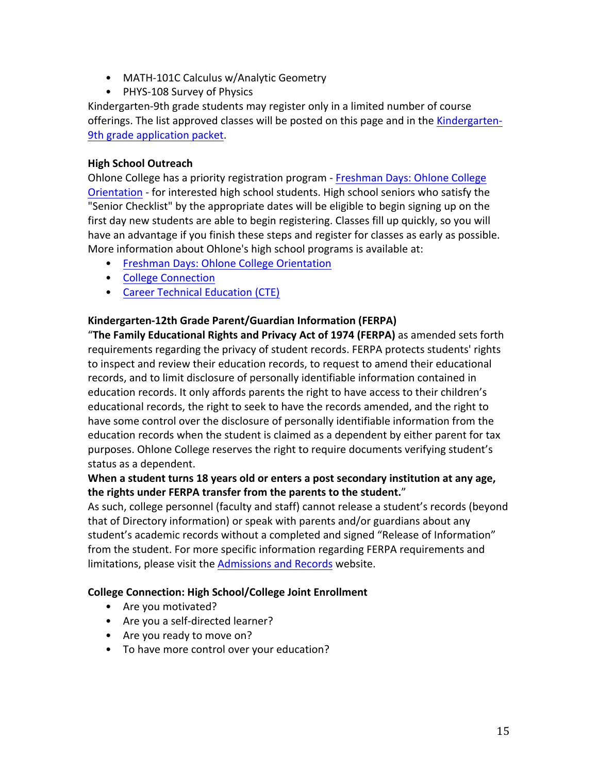- MATH-101C Calculus w/Analytic Geometry
- PHYS-108 Survey of Physics

Kindergarten-9th grade students may register only in a limited number of course offerings. The list approved classes will be posted on this page and in the Kindergarten-9th grade application packet.

### **High School Outreach**

Ohlone College has a priority registration program - Freshman Days: Ohlone College Orientation - for interested high school students. High school seniors who satisfy the "Senior Checklist" by the appropriate dates will be eligible to begin signing up on the first day new students are able to begin registering. Classes fill up quickly, so you will have an advantage if you finish these steps and register for classes as early as possible. More information about Ohlone's high school programs is available at:

- Freshman Days: Ohlone College Orientation
- College Connection
- Career Technical Education (CTE)

## Kindergarten-12th Grade Parent/Guardian Information (FERPA)

"The Family Educational Rights and Privacy Act of 1974 (FERPA) as amended sets forth requirements regarding the privacy of student records. FERPA protects students' rights to inspect and review their education records, to request to amend their educational records, and to limit disclosure of personally identifiable information contained in education records. It only affords parents the right to have access to their children's educational records, the right to seek to have the records amended, and the right to have some control over the disclosure of personally identifiable information from the education records when the student is claimed as a dependent by either parent for tax purposes. Ohlone College reserves the right to require documents verifying student's status as a dependent.

## When a student turns 18 years old or enters a post secondary institution at any age, the rights under FERPA transfer from the parents to the student."

As such, college personnel (faculty and staff) cannot release a student's records (beyond that of Directory information) or speak with parents and/or guardians about any student's academic records without a completed and signed "Release of Information" from the student. For more specific information regarding FERPA requirements and limitations, please visit the Admissions and Records website.

### **College Connection: High School/College Joint Enrollment**

- Are you motivated?
- Are you a self-directed learner?
- Are you ready to move on?
- To have more control over your education?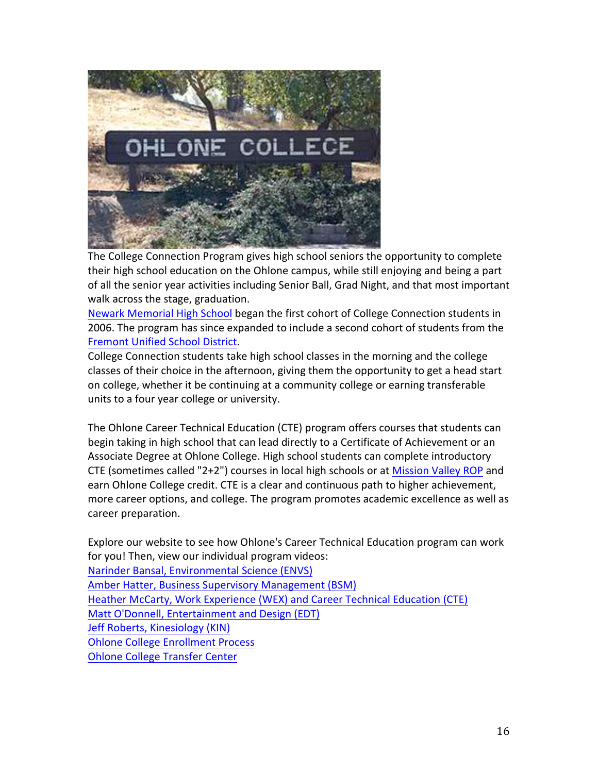

The College Connection Program gives high school seniors the opportunity to complete their high school education on the Ohlone campus, while still enjoying and being a part of all the senior year activities including Senior Ball, Grad Night, and that most important walk across the stage, graduation.

Newark Memorial High School began the first cohort of College Connection students in 2006. The program has since expanded to include a second cohort of students from the Fremont Unified School District.

College Connection students take high school classes in the morning and the college classes of their choice in the afternoon, giving them the opportunity to get a head start on college, whether it be continuing at a community college or earning transferable units to a four year college or university.

The Ohlone Career Technical Education (CTE) program offers courses that students can begin taking in high school that can lead directly to a Certificate of Achievement or an Associate Degree at Ohlone College. High school students can complete introductory CTE (sometimes called "2+2") courses in local high schools or at Mission Valley ROP and earn Ohlone College credit. CTE is a clear and continuous path to higher achievement, more career options, and college. The program promotes academic excellence as well as career preparation.

Explore our website to see how Ohlone's Career Technical Education program can work for you! Then, view our individual program videos: Narinder Bansal, Environmental Science (ENVS) Amber Hatter, Business Supervisory Management (BSM) Heather McCarty, Work Experience (WEX) and Career Technical Education (CTE) Matt O'Donnell, Entertainment and Design (EDT) Jeff Roberts, Kinesiology (KIN) **Ohlone College Enrollment Process** Ohlone College Transfer Center